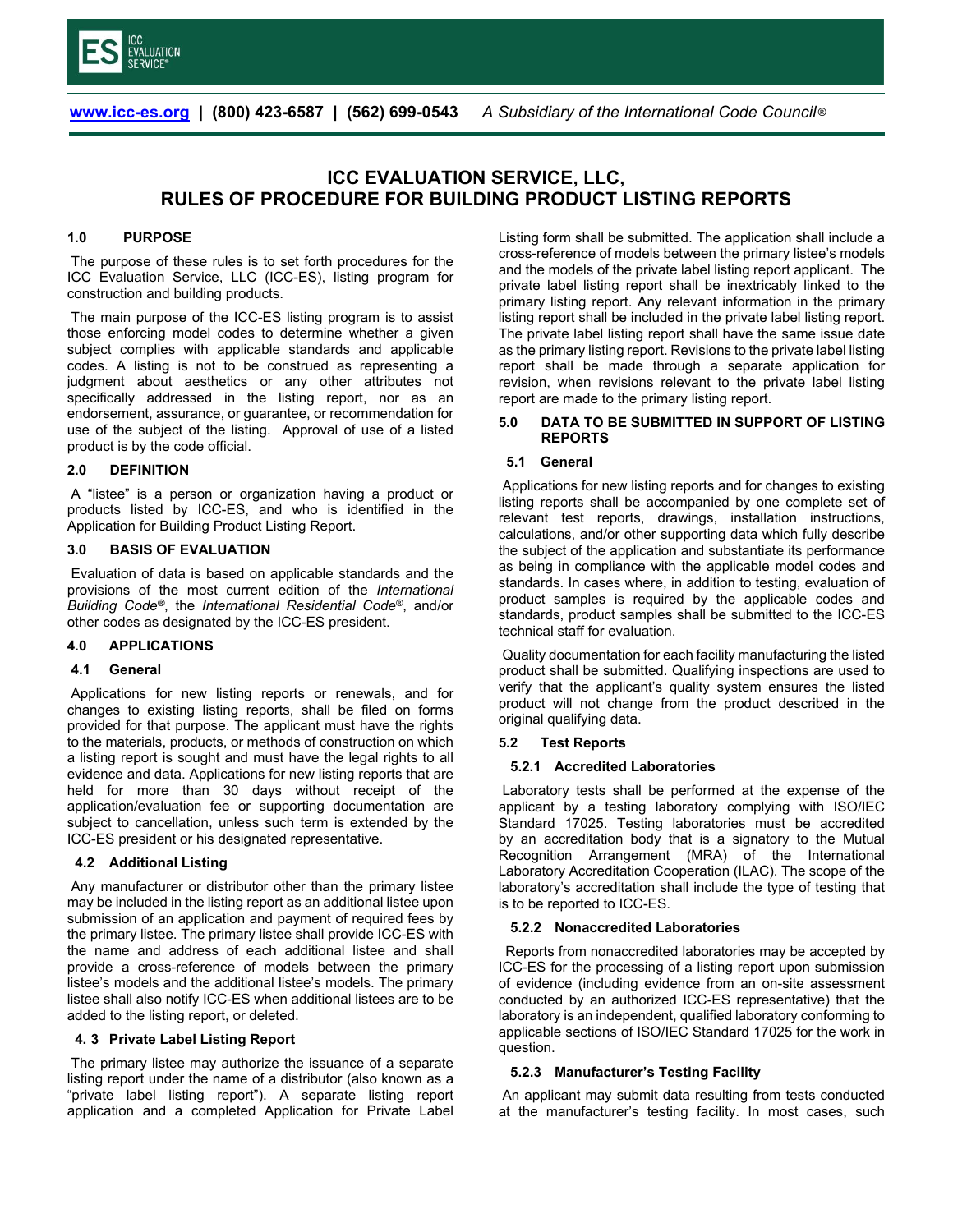

# **ICC EVALUATION SERVICE, LLC, RULES OF PROCEDURE FOR BUILDING PRODUCT LISTING REPORTS**

### **1.0 PURPOSE**

The purpose of these rules is to set forth procedures for the ICC Evaluation Service, LLC (ICC-ES), listing program for construction and building products.

The main purpose of the ICC-ES listing program is to assist those enforcing model codes to determine whether a given subject complies with applicable standards and applicable codes. A listing is not to be construed as representing a judgment about aesthetics or any other attributes not specifically addressed in the listing report, nor as an endorsement, assurance, or guarantee, or recommendation for use of the subject of the listing. Approval of use of a listed product is by the code official.

### **2.0 DEFINITION**

A "listee" is a person or organization having a product or products listed by ICC-ES, and who is identified in the Application for Building Product Listing Report.

### **3.0 BASIS OF EVALUATION**

Evaluation of data is based on applicable standards and the provisions of the most current edition of the *International Building Code®*, the *International Residential Code®*, and/or other codes as designated by the ICC-ES president.

### **4.0 APPLICATIONS**

### **4.1 General**

Applications for new listing reports or renewals, and for changes to existing listing reports, shall be filed on forms provided for that purpose. The applicant must have the rights to the materials, products, or methods of construction on which a listing report is sought and must have the legal rights to all evidence and data. Applications for new listing reports that are held for more than 30 days without receipt of the application/evaluation fee or supporting documentation are subject to cancellation, unless such term is extended by the ICC-ES president or his designated representative.

# **4.2 Additional Listing**

Any manufacturer or distributor other than the primary listee may be included in the listing report as an additional listee upon submission of an application and payment of required fees by the primary listee. The primary listee shall provide ICC-ES with the name and address of each additional listee and shall provide a cross-reference of models between the primary listee's models and the additional listee's models. The primary listee shall also notify ICC-ES when additional listees are to be added to the listing report, or deleted.

### **4. 3 Private Label Listing Report**

The primary listee may authorize the issuance of a separate listing report under the name of a distributor (also known as a "private label listing report"). A separate listing report application and a completed Application for Private Label Listing form shall be submitted. The application shall include a cross-reference of models between the primary listee's models and the models of the private label listing report applicant. The private label listing report shall be inextricably linked to the primary listing report. Any relevant information in the primary listing report shall be included in the private label listing report. The private label listing report shall have the same issue date as the primary listing report. Revisions to the private label listing report shall be made through a separate application for revision, when revisions relevant to the private label listing report are made to the primary listing report.

### **5.0 DATA TO BE SUBMITTED IN SUPPORT OF LISTING REPORTS**

### **5.1 General**

Applications for new listing reports and for changes to existing listing reports shall be accompanied by one complete set of relevant test reports, drawings, installation instructions, calculations, and/or other supporting data which fully describe the subject of the application and substantiate its performance as being in compliance with the applicable model codes and standards. In cases where, in addition to testing, evaluation of product samples is required by the applicable codes and standards, product samples shall be submitted to the ICC-ES technical staff for evaluation.

Quality documentation for each facility manufacturing the listed product shall be submitted. Qualifying inspections are used to verify that the applicant's quality system ensures the listed product will not change from the product described in the original qualifying data.

# **5.2 Test Reports**

### **5.2.1 Accredited Laboratories**

Laboratory tests shall be performed at the expense of the applicant by a testing laboratory complying with ISO/IEC Standard 17025. Testing laboratories must be accredited by an accreditation body that is a signatory to the Mutual Recognition Arrangement (MRA) of the International Laboratory Accreditation Cooperation (ILAC). The scope of the laboratory's accreditation shall include the type of testing that is to be reported to ICC-ES.

### **5.2.2 Nonaccredited Laboratories**

Reports from nonaccredited laboratories may be accepted by ICC-ES for the processing of a listing report upon submission of evidence (including evidence from an on-site assessment conducted by an authorized ICC-ES representative) that the laboratory is an independent, qualified laboratory conforming to applicable sections of ISO/IEC Standard 17025 for the work in question.

# **5.2.3 Manufacturer's Testing Facility**

An applicant may submit data resulting from tests conducted at the manufacturer's testing facility. In most cases, such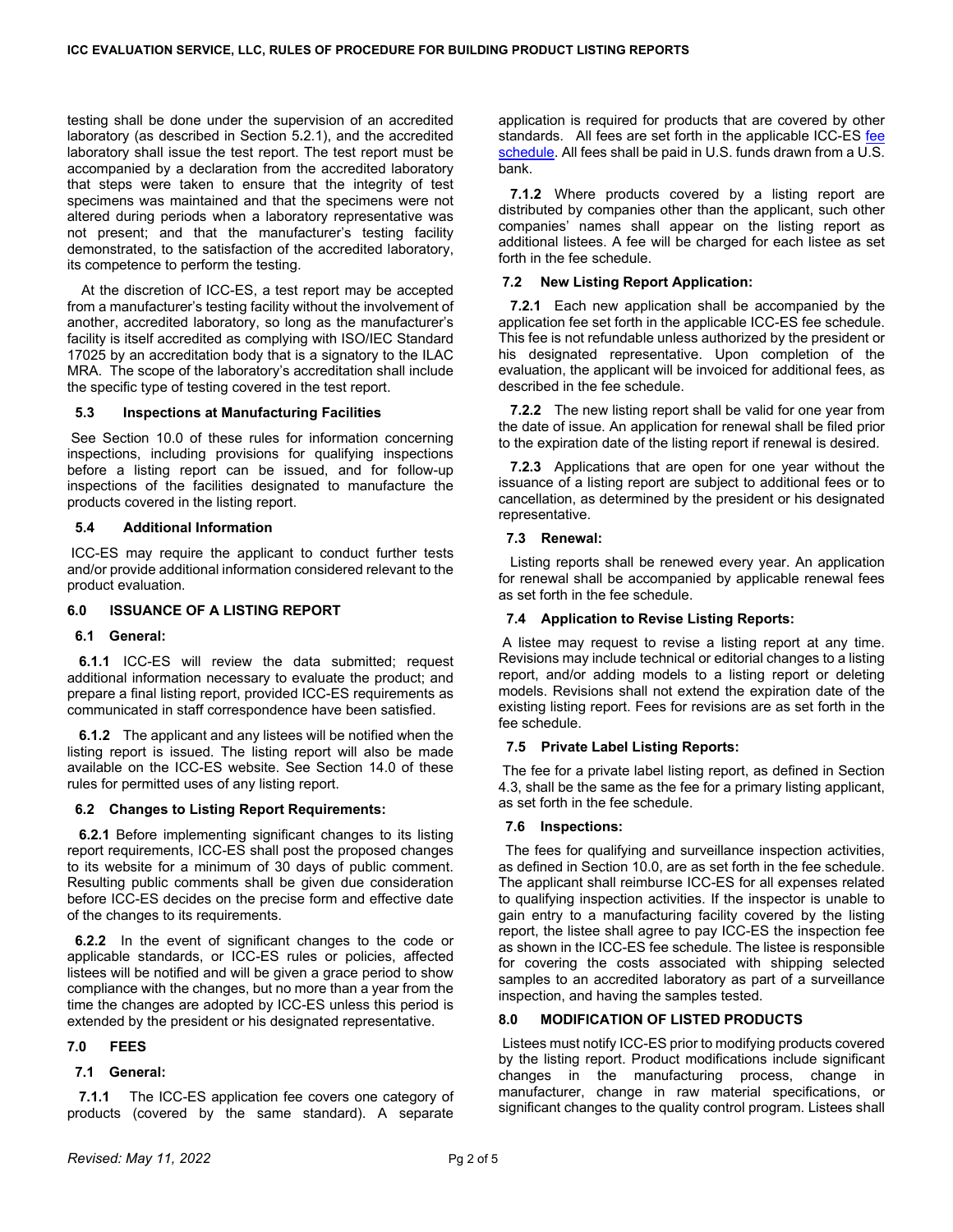testing shall be done under the supervision of an accredited laboratory (as described in Section 5**.**2.1), and the accredited laboratory shall issue the test report. The test report must be accompanied by a declaration from the accredited laboratory that steps were taken to ensure that the integrity of test specimens was maintained and that the specimens were not altered during periods when a laboratory representative was not present; and that the manufacturer's testing facility demonstrated, to the satisfaction of the accredited laboratory, its competence to perform the testing.

 At the discretion of ICC-ES, a test report may be accepted from a manufacturer's testing facility without the involvement of another, accredited laboratory, so long as the manufacturer's facility is itself accredited as complying with ISO/IEC Standard 17025 by an accreditation body that is a signatory to the ILAC MRA. The scope of the laboratory's accreditation shall include the specific type of testing covered in the test report.

### **5.3 Inspections at Manufacturing Facilities**

See Section 10.0 of these rules for information concerning inspections, including provisions for qualifying inspections before a listing report can be issued, and for follow-up inspections of the facilities designated to manufacture the products covered in the listing report.

### **5.4 Additional Information**

ICC-ES may require the applicant to conduct further tests and/or provide additional information considered relevant to the product evaluation.

### **6.0 ISSUANCE OF A LISTING REPORT**

### **6.1 General:**

**6.1.1** ICC-ES will review the data submitted; request additional information necessary to evaluate the product; and prepare a final listing report, provided ICC-ES requirements as communicated in staff correspondence have been satisfied.

 **6.1.2** The applicant and any listees will be notified when the listing report is issued. The listing report will also be made available on the ICC-ES website. See Section 14.0 of these rules for permitted uses of any listing report.

# **6.2 Changes to Listing Report Requirements:**

 **6.2.1** Before implementing significant changes to its listing report requirements, ICC-ES shall post the proposed changes to its website for a minimum of 30 days of public comment. Resulting public comments shall be given due consideration before ICC-ES decides on the precise form and effective date of the changes to its requirements.

 **6.2.2** In the event of significant changes to the code or applicable standards, or ICC-ES rules or policies, affected listees will be notified and will be given a grace period to show compliance with the changes, but no more than a year from the time the changes are adopted by ICC-ES unless this period is extended by the president or his designated representative.

# **7.0 FEES**

### **7.1 General:**

 **7.1.1** The ICC-ES application fee covers one category of products (covered by the same standard). A separate application is required for products that are covered by other standards. All fees are set forth in the applicable ICC-ES fee [schedule.](https://icc-es.org/wp-content/uploads/ESL_EXTERNAL-Fee-schedule_revised_April-2021.pdf) All fees shall be paid in U.S. funds drawn from a U.S. bank.

 **7.1.2** Where products covered by a listing report are distributed by companies other than the applicant, such other companies' names shall appear on the listing report as additional listees. A fee will be charged for each listee as set forth in the fee schedule.

### **7.2 New Listing Report Application:**

 **7.2.1** Each new application shall be accompanied by the application fee set forth in the applicable ICC-ES fee schedule. This fee is not refundable unless authorized by the president or his designated representative. Upon completion of the evaluation, the applicant will be invoiced for additional fees, as described in the fee schedule.

 **7.2.2** The new listing report shall be valid for one year from the date of issue. An application for renewal shall be filed prior to the expiration date of the listing report if renewal is desired.

 **7.2.3** Applications that are open for one year without the issuance of a listing report are subject to additional fees or to cancellation, as determined by the president or his designated representative.

### **7.3 Renewal:**

Listing reports shall be renewed every year. An application for renewal shall be accompanied by applicable renewal fees as set forth in the fee schedule.

### **7.4 Application to Revise Listing Reports:**

A listee may request to revise a listing report at any time. Revisions may include technical or editorial changes to a listing report, and/or adding models to a listing report or deleting models. Revisions shall not extend the expiration date of the existing listing report. Fees for revisions are as set forth in the fee schedule.

### **7.5 Private Label Listing Reports:**

The fee for a private label listing report, as defined in Section 4.3, shall be the same as the fee for a primary listing applicant, as set forth in the fee schedule.

### **7.6 Inspections:**

The fees for qualifying and surveillance inspection activities, as defined in Section 10.0, are as set forth in the fee schedule. The applicant shall reimburse ICC-ES for all expenses related to qualifying inspection activities. If the inspector is unable to gain entry to a manufacturing facility covered by the listing report, the listee shall agree to pay ICC-ES the inspection fee as shown in the ICC-ES fee schedule. The listee is responsible for covering the costs associated with shipping selected samples to an accredited laboratory as part of a surveillance inspection, and having the samples tested.

# **8.0 MODIFICATION OF LISTED PRODUCTS**

Listees must notify ICC-ES prior to modifying products covered by the listing report. Product modifications include significant changes in the manufacturing process, change in manufacturer, change in raw material specifications, or significant changes to the quality control program. Listees shall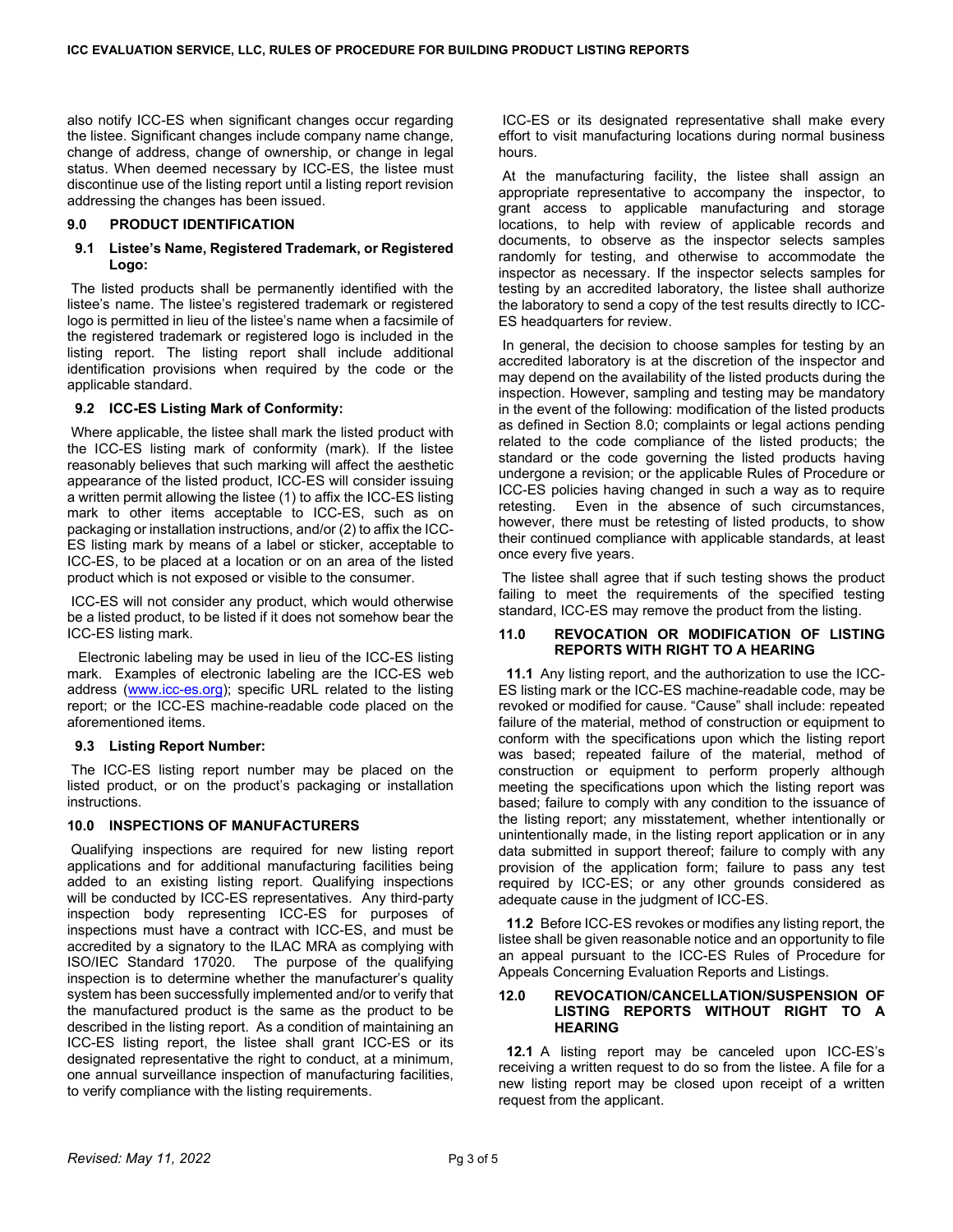also notify ICC-ES when significant changes occur regarding the listee. Significant changes include company name change, change of address, change of ownership, or change in legal status. When deemed necessary by ICC-ES, the listee must discontinue use of the listing report until a listing report revision addressing the changes has been issued.

### **9.0 PRODUCT IDENTIFICATION**

### **9.1 Listee's Name, Registered Trademark, or Registered Logo:**

The listed products shall be permanently identified with the listee's name. The listee's registered trademark or registered logo is permitted in lieu of the listee's name when a facsimile of the registered trademark or registered logo is included in the listing report. The listing report shall include additional identification provisions when required by the code or the applicable standard.

### **9.2 ICC-ES Listing Mark of Conformity:**

Where applicable, the listee shall mark the listed product with the ICC-ES listing mark of conformity (mark). If the listee reasonably believes that such marking will affect the aesthetic appearance of the listed product, ICC-ES will consider issuing a written permit allowing the listee (1) to affix the ICC-ES listing mark to other items acceptable to ICC-ES, such as on packaging or installation instructions, and/or (2) to affix the ICC-ES listing mark by means of a label or sticker, acceptable to ICC-ES, to be placed at a location or on an area of the listed product which is not exposed or visible to the consumer.

ICC-ES will not consider any product, which would otherwise be a listed product, to be listed if it does not somehow bear the ICC-ES listing mark.

Electronic labeling may be used in lieu of the ICC-ES listing mark. Examples of electronic labeling are the ICC-ES web address [\(www.icc-es.org\)](http://www.icc-es.org/); specific URL related to the listing report; or the ICC-ES machine-readable code placed on the aforementioned items.

### **9.3 Listing Report Number:**

The ICC-ES listing report number may be placed on the listed product, or on the product's packaging or installation instructions.

### **10.0 INSPECTIONS OF MANUFACTURERS**

Qualifying inspections are required for new listing report applications and for additional manufacturing facilities being added to an existing listing report. Qualifying inspections will be conducted by ICC-ES representatives. Any third-party inspection body representing ICC-ES for purposes of inspections must have a contract with ICC-ES, and must be accredited by a signatory to the ILAC MRA as complying with ISO/IEC Standard 17020. The purpose of the qualifying inspection is to determine whether the manufacturer's quality system has been successfully implemented and/or to verify that the manufactured product is the same as the product to be described in the listing report. As a condition of maintaining an ICC-ES listing report, the listee shall grant ICC-ES or its designated representative the right to conduct, at a minimum, one annual surveillance inspection of manufacturing facilities, to verify compliance with the listing requirements.

ICC-ES or its designated representative shall make every effort to visit manufacturing locations during normal business hours.

At the manufacturing facility, the listee shall assign an appropriate representative to accompany the inspector, to grant access to applicable manufacturing and storage locations, to help with review of applicable records and documents, to observe as the inspector selects samples randomly for testing, and otherwise to accommodate the inspector as necessary. If the inspector selects samples for testing by an accredited laboratory, the listee shall authorize the laboratory to send a copy of the test results directly to ICC-ES headquarters for review.

In general, the decision to choose samples for testing by an accredited laboratory is at the discretion of the inspector and may depend on the availability of the listed products during the inspection. However, sampling and testing may be mandatory in the event of the following: modification of the listed products as defined in Section 8.0; complaints or legal actions pending related to the code compliance of the listed products; the standard or the code governing the listed products having undergone a revision; or the applicable Rules of Procedure or ICC-ES policies having changed in such a way as to require retesting. Even in the absence of such circumstances, however, there must be retesting of listed products, to show their continued compliance with applicable standards, at least once every five years.

The listee shall agree that if such testing shows the product failing to meet the requirements of the specified testing standard, ICC-ES may remove the product from the listing.

#### **11.0 REVOCATION OR MODIFICATION OF LISTING REPORTS WITH RIGHT TO A HEARING**

 **11.1** Any listing report, and the authorization to use the ICC-ES listing mark or the ICC-ES machine-readable code, may be revoked or modified for cause. "Cause" shall include: repeated failure of the material, method of construction or equipment to conform with the specifications upon which the listing report was based; repeated failure of the material, method of construction or equipment to perform properly although meeting the specifications upon which the listing report was based; failure to comply with any condition to the issuance of the listing report; any misstatement, whether intentionally or unintentionally made, in the listing report application or in any data submitted in support thereof; failure to comply with any provision of the application form; failure to pass any test required by ICC-ES; or any other grounds considered as adequate cause in the judgment of ICC-ES.

 **11.2** Before ICC-ES revokes or modifies any listing report, the listee shall be given reasonable notice and an opportunity to file an appeal pursuant to the ICC-ES Rules of Procedure for Appeals Concerning Evaluation Reports and Listings.

#### **12.0 REVOCATION/CANCELLATION/SUSPENSION OF LISTING REPORTS WITHOUT RIGHT TO A HEARING**

 **12.1** A listing report may be canceled upon ICC-ES's receiving a written request to do so from the listee. A file for a new listing report may be closed upon receipt of a written request from the applicant.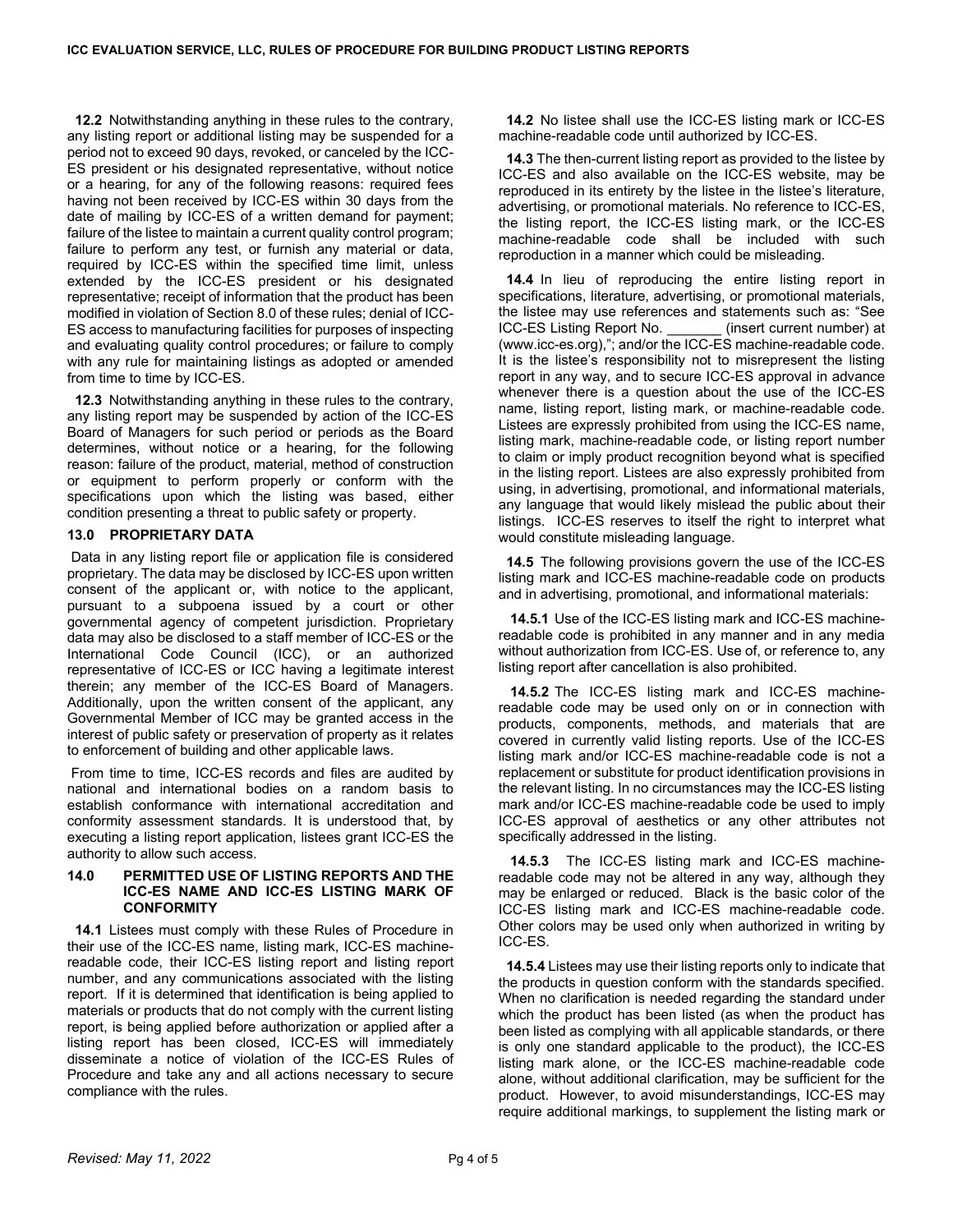**12.2** Notwithstanding anything in these rules to the contrary, any listing report or additional listing may be suspended for a period not to exceed 90 days, revoked, or canceled by the ICC-ES president or his designated representative, without notice or a hearing, for any of the following reasons: required fees having not been received by ICC-ES within 30 days from the date of mailing by ICC-ES of a written demand for payment; failure of the listee to maintain a current quality control program; failure to perform any test, or furnish any material or data, required by ICC-ES within the specified time limit, unless extended by the ICC-ES president or his designated representative; receipt of information that the product has been modified in violation of Section 8.0 of these rules; denial of ICC-ES access to manufacturing facilities for purposes of inspecting and evaluating quality control procedures; or failure to comply with any rule for maintaining listings as adopted or amended from time to time by ICC-ES.

 **12.3** Notwithstanding anything in these rules to the contrary, any listing report may be suspended by action of the ICC-ES Board of Managers for such period or periods as the Board determines, without notice or a hearing, for the following reason: failure of the product, material, method of construction or equipment to perform properly or conform with the specifications upon which the listing was based, either condition presenting a threat to public safety or property.

# **13.0 PROPRIETARY DATA**

Data in any listing report file or application file is considered proprietary. The data may be disclosed by ICC-ES upon written consent of the applicant or, with notice to the applicant, pursuant to a subpoena issued by a court or other governmental agency of competent jurisdiction. Proprietary data may also be disclosed to a staff member of ICC-ES or the International Code Council (ICC), or an authorized representative of ICC-ES or ICC having a legitimate interest therein; any member of the ICC-ES Board of Managers. Additionally, upon the written consent of the applicant, any Governmental Member of ICC may be granted access in the interest of public safety or preservation of property as it relates to enforcement of building and other applicable laws.

From time to time, ICC-ES records and files are audited by national and international bodies on a random basis to establish conformance with international accreditation and conformity assessment standards. It is understood that, by executing a listing report application, listees grant ICC-ES the authority to allow such access.

#### **14.0 PERMITTED USE OF LISTING REPORTS AND THE ICC-ES NAME AND ICC-ES LISTING MARK OF CONFORMITY**

 **14.1** Listees must comply with these Rules of Procedure in their use of the ICC-ES name, listing mark, ICC-ES machinereadable code, their ICC-ES listing report and listing report number, and any communications associated with the listing report. If it is determined that identification is being applied to materials or products that do not comply with the current listing report, is being applied before authorization or applied after a listing report has been closed, ICC-ES will immediately disseminate a notice of violation of the ICC-ES Rules of Procedure and take any and all actions necessary to secure compliance with the rules.

 **14.2** No listee shall use the ICC-ES listing mark or ICC-ES machine-readable code until authorized by ICC-ES.

 **14.3** The then-current listing report as provided to the listee by ICC-ES and also available on the ICC-ES website, may be reproduced in its entirety by the listee in the listee's literature, advertising, or promotional materials. No reference to ICC-ES, the listing report, the ICC-ES listing mark, or the ICC-ES machine-readable code shall be included with such reproduction in a manner which could be misleading.

 **14.4** In lieu of reproducing the entire listing report in specifications, literature, advertising, or promotional materials, the listee may use references and statements such as: "See ICC-ES Listing Report No. \_\_\_\_\_\_\_ (insert current number) at (www.icc-es.org),"; and/or the ICC-ES machine-readable code. It is the listee's responsibility not to misrepresent the listing report in any way, and to secure ICC-ES approval in advance whenever there is a question about the use of the ICC-ES name, listing report, listing mark, or machine-readable code. Listees are expressly prohibited from using the ICC-ES name, listing mark, machine-readable code, or listing report number to claim or imply product recognition beyond what is specified in the listing report. Listees are also expressly prohibited from using, in advertising, promotional, and informational materials, any language that would likely mislead the public about their listings. ICC-ES reserves to itself the right to interpret what would constitute misleading language.

 **14.5** The following provisions govern the use of the ICC-ES listing mark and ICC-ES machine-readable code on products and in advertising, promotional, and informational materials:

 **14.5.1** Use of the ICC-ES listing mark and ICC-ES machinereadable code is prohibited in any manner and in any media without authorization from ICC-ES. Use of, or reference to, any listing report after cancellation is also prohibited.

 **14.5.2** The ICC-ES listing mark and ICC-ES machinereadable code may be used only on or in connection with products, components, methods, and materials that are covered in currently valid listing reports. Use of the ICC-ES listing mark and/or ICC-ES machine-readable code is not a replacement or substitute for product identification provisions in the relevant listing. In no circumstances may the ICC-ES listing mark and/or ICC-ES machine-readable code be used to imply ICC-ES approval of aesthetics or any other attributes not specifically addressed in the listing.

 **14.5.3** The ICC-ES listing mark and ICC-ES machinereadable code may not be altered in any way, although they may be enlarged or reduced. Black is the basic color of the ICC-ES listing mark and ICC-ES machine-readable code. Other colors may be used only when authorized in writing by ICC-ES.

 **14.5.4** Listees may use their listing reports only to indicate that the products in question conform with the standards specified. When no clarification is needed regarding the standard under which the product has been listed (as when the product has been listed as complying with all applicable standards, or there is only one standard applicable to the product), the ICC-ES listing mark alone, or the ICC-ES machine-readable code alone, without additional clarification, may be sufficient for the product. However, to avoid misunderstandings, ICC-ES may require additional markings, to supplement the listing mark or